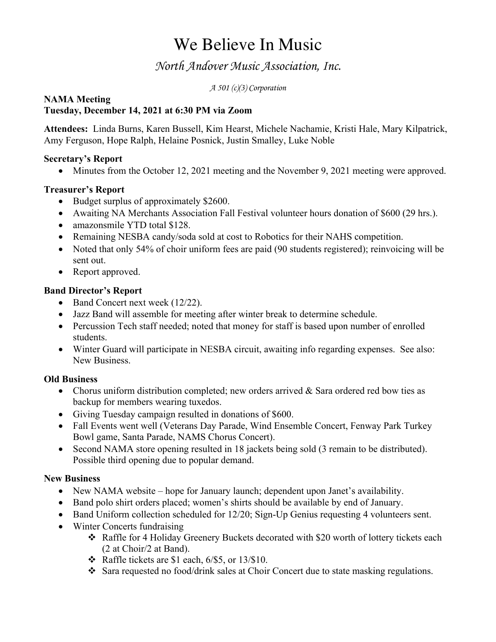# We Believe In Music

# *North Andover Music Association, Inc.*

*A 501 (c)(3) Corporation*

#### **NAMA Meeting Tuesday, December 14, 2021 at 6:30 PM via Zoom**

**Attendees:** Linda Burns, Karen Bussell, Kim Hearst, Michele Nachamie, Kristi Hale, Mary Kilpatrick, Amy Ferguson, Hope Ralph, Helaine Posnick, Justin Smalley, Luke Noble

### **Secretary's Report**

• Minutes from the October 12, 2021 meeting and the November 9, 2021 meeting were approved.

### **Treasurer's Report**

- Budget surplus of approximately \$2600.
- Awaiting NA Merchants Association Fall Festival volunteer hours donation of \$600 (29 hrs.).
- amazonsmile YTD total \$128.
- Remaining NESBA candy/soda sold at cost to Robotics for their NAHS competition.
- Noted that only 54% of choir uniform fees are paid (90 students registered); reinvoicing will be sent out.
- Report approved.

### **Band Director's Report**

- Band Concert next week (12/22).
- Jazz Band will assemble for meeting after winter break to determine schedule.
- Percussion Tech staff needed; noted that money for staff is based upon number of enrolled students.
- Winter Guard will participate in NESBA circuit, awaiting info regarding expenses. See also: New Business.

## **Old Business**

- Chorus uniform distribution completed; new orders arrived & Sara ordered red bow ties as backup for members wearing tuxedos.
- Giving Tuesday campaign resulted in donations of \$600.
- Fall Events went well (Veterans Day Parade, Wind Ensemble Concert, Fenway Park Turkey Bowl game, Santa Parade, NAMS Chorus Concert).
- Second NAMA store opening resulted in 18 jackets being sold (3 remain to be distributed). Possible third opening due to popular demand.

#### **New Business**

- New NAMA website hope for January launch; dependent upon Janet's availability.
- Band polo shirt orders placed; women's shirts should be available by end of January.
- Band Uniform collection scheduled for 12/20; Sign-Up Genius requesting 4 volunteers sent.
- Winter Concerts fundraising
	- $\div$  Raffle for 4 Holiday Greenery Buckets decorated with \$20 worth of lottery tickets each (2 at Choir/2 at Band).
	- $\div$  Raffle tickets are \$1 each, 6/\$5, or 13/\$10.
	- $\cdot$  Sara requested no food/drink sales at Choir Concert due to state masking regulations.